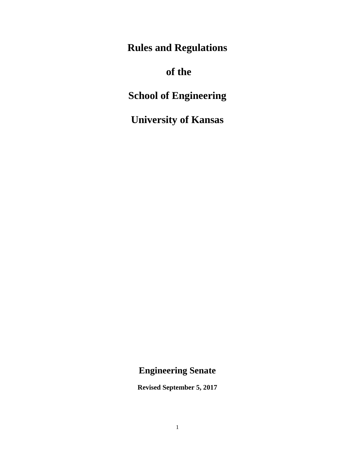**Rules and Regulations**

# **of the**

**School of Engineering** 

**University of Kansas** 

## **Engineering Senate**

**Revised September 5, 2017**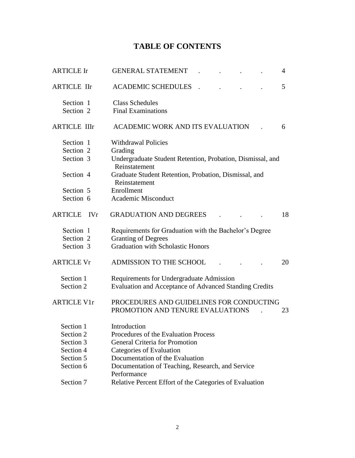## **TABLE OF CONTENTS**

| <b>ARTICLE Ir</b>                                                    | <b>GENERAL STATEMENT</b><br>4                                                      |  |  |  |  |  |
|----------------------------------------------------------------------|------------------------------------------------------------------------------------|--|--|--|--|--|
| <b>ARTICLE IIr</b>                                                   | 5<br><b>ACADEMIC SCHEDULES</b>                                                     |  |  |  |  |  |
| Section 1                                                            | <b>Class Schedules</b>                                                             |  |  |  |  |  |
| Section 2                                                            | <b>Final Examinations</b>                                                          |  |  |  |  |  |
| <b>ARTICLE IIIr</b>                                                  | ACADEMIC WORK AND ITS EVALUATION<br>6                                              |  |  |  |  |  |
| Section 1                                                            | <b>Withdrawal Policies</b>                                                         |  |  |  |  |  |
| Section 2                                                            | Grading                                                                            |  |  |  |  |  |
| Section 3                                                            | Undergraduate Student Retention, Probation, Dismissal, and<br>Reinstatement        |  |  |  |  |  |
| Section 4                                                            | Graduate Student Retention, Probation, Dismissal, and<br>Reinstatement             |  |  |  |  |  |
| Section 5                                                            | Enrollment                                                                         |  |  |  |  |  |
| Section 6                                                            | Academic Misconduct                                                                |  |  |  |  |  |
| <b>ARTICLE</b><br><b>IVr</b>                                         | <b>GRADUATION AND DEGREES</b><br>18                                                |  |  |  |  |  |
| Section 1                                                            | Requirements for Graduation with the Bachelor's Degree                             |  |  |  |  |  |
| Section 2                                                            | <b>Granting of Degrees</b>                                                         |  |  |  |  |  |
| Section 3                                                            | <b>Graduation with Scholastic Honors</b>                                           |  |  |  |  |  |
| <b>ARTICLE Vr</b>                                                    | ADMISSION TO THE SCHOOL<br>20                                                      |  |  |  |  |  |
| Section 1                                                            | Requirements for Undergraduate Admission                                           |  |  |  |  |  |
| Section 2                                                            | Evaluation and Acceptance of Advanced Standing Credits                             |  |  |  |  |  |
| <b>ARTICLE V1r</b>                                                   | PROCEDURES AND GUIDELINES FOR CONDUCTING<br>PROMOTION AND TENURE EVALUATIONS<br>23 |  |  |  |  |  |
| Section 1                                                            | Introduction                                                                       |  |  |  |  |  |
| Section 2                                                            | Procedures of the Evaluation Process                                               |  |  |  |  |  |
| Section 3                                                            | <b>General Criteria for Promotion</b>                                              |  |  |  |  |  |
| Section 4                                                            | Categories of Evaluation                                                           |  |  |  |  |  |
| Section 5                                                            | Documentation of the Evaluation                                                    |  |  |  |  |  |
| Section 6                                                            | Documentation of Teaching, Research, and Service<br>Performance                    |  |  |  |  |  |
| Relative Percent Effort of the Categories of Evaluation<br>Section 7 |                                                                                    |  |  |  |  |  |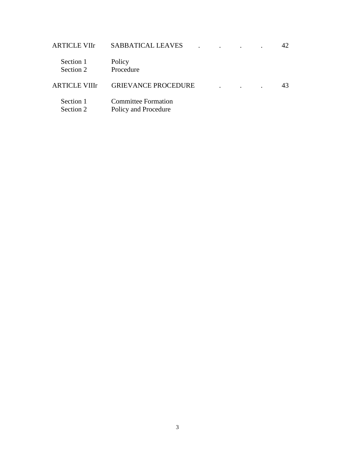| <b>ARTICLE VIIr</b>    | <b>SABBATICAL LEAVES</b>                           |  |  | 42 |
|------------------------|----------------------------------------------------|--|--|----|
| Section 1<br>Section 2 | Policy<br>Procedure                                |  |  |    |
| <b>ARTICLE VIII</b> r  | <b>GRIEVANCE PROCEDURE</b>                         |  |  | 43 |
| Section 1<br>Section 2 | <b>Committee Formation</b><br>Policy and Procedure |  |  |    |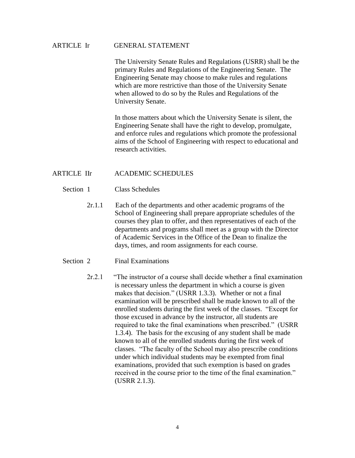## ARTICLE Ir GENERAL STATEMENT

The University Senate Rules and Regulations (USRR) shall be the primary Rules and Regulations of the Engineering Senate. The Engineering Senate may choose to make rules and regulations which are more restrictive than those of the University Senate when allowed to do so by the Rules and Regulations of the University Senate.

In those matters about which the University Senate is silent, the Engineering Senate shall have the right to develop, promulgate, and enforce rules and regulations which promote the professional aims of the School of Engineering with respect to educational and research activities.

### ARTICLE IIr ACADEMIC SCHEDULES

- Section 1 Class Schedules
	- 2r.1.1 Each of the departments and other academic programs of the School of Engineering shall prepare appropriate schedules of the courses they plan to offer, and then representatives of each of the departments and programs shall meet as a group with the Director of Academic Services in the Office of the Dean to finalize the days, times, and room assignments for each course.
- Section 2 Final Examinations

 2r.2.1 "The instructor of a course shall decide whether a final examination is necessary unless the department in which a course is given makes that decision." (USRR 1.3.3). Whether or not a final examination will be prescribed shall be made known to all of the enrolled students during the first week of the classes. "Except for those excused in advance by the instructor, all students are required to take the final examinations when prescribed." (USRR 1.3.4). The basis for the excusing of any student shall be made known to all of the enrolled students during the first week of classes. "The faculty of the School may also prescribe conditions under which individual students may be exempted from final examinations, provided that such exemption is based on grades received in the course prior to the time of the final examination." (USRR 2.1.3).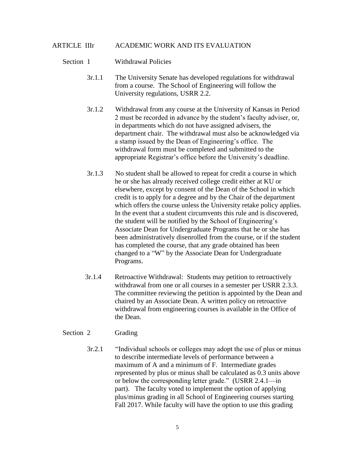## ARTICLE IIIr ACADEMIC WORK AND ITS EVALUATION

### Section 1 Withdrawal Policies

- 3r.1.1 The University Senate has developed regulations for withdrawal from a course. The School of Engineering will follow the University regulations, USRR 2.2.
- 3r.1.2 Withdrawal from any course at the University of Kansas in Period 2 must be recorded in advance by the student's faculty adviser, or, in departments which do not have assigned advisers, the department chair. The withdrawal must also be acknowledged via a stamp issued by the Dean of Engineering's office. The withdrawal form must be completed and submitted to the appropriate Registrar's office before the University's deadline.
- 3r.1.3 No student shall be allowed to repeat for credit a course in which he or she has already received college credit either at KU or elsewhere, except by consent of the Dean of the School in which credit is to apply for a degree and by the Chair of the department which offers the course unless the University retake policy applies. In the event that a student circumvents this rule and is discovered, the student will be notified by the School of Engineering's Associate Dean for Undergraduate Programs that he or she has been administratively disenrolled from the course, or if the student has completed the course, that any grade obtained has been changed to a "W" by the Associate Dean for Undergraduate Programs.
- 3r.1.4 Retroactive Withdrawal: Students may petition to retroactively withdrawal from one or all courses in a semester per USRR 2.3.3. The committee reviewing the petition is appointed by the Dean and chaired by an Associate Dean. A written policy on retroactive withdrawal from engineering courses is available in the Office of the Dean.

## Section 2 Grading

 3r.2.1 "Individual schools or colleges may adopt the use of plus or minus to describe intermediate levels of performance between a maximum of A and a minimum of F. Intermediate grades represented by plus or minus shall be calculated as 0.3 units above or below the corresponding letter grade." (USRR 2.4.1—in part). The faculty voted to implement the option of applying plus/minus grading in all School of Engineering courses starting Fall 2017. While faculty will have the option to use this grading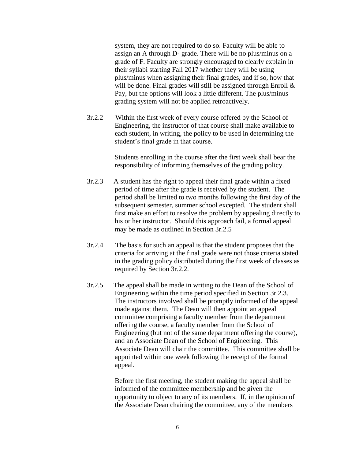system, they are not required to do so. Faculty will be able to assign an A through D- grade. There will be no plus/minus on a grade of F. Faculty are strongly encouraged to clearly explain in their syllabi starting Fall 2017 whether they will be using plus/minus when assigning their final grades, and if so, how that will be done. Final grades will still be assigned through Enroll & Pay, but the options will look a little different. The plus/minus grading system will not be applied retroactively.

 3r.2.2 Within the first week of every course offered by the School of Engineering, the instructor of that course shall make available to each student, in writing, the policy to be used in determining the student's final grade in that course.

> Students enrolling in the course after the first week shall bear the responsibility of informing themselves of the grading policy.

- 3r.2.3 A student has the right to appeal their final grade within a fixed period of time after the grade is received by the student. The period shall be limited to two months following the first day of the subsequent semester, summer school excepted. The student shall first make an effort to resolve the problem by appealing directly to his or her instructor. Should this approach fail, a formal appeal may be made as outlined in Section 3r.2.5
- 3r.2.4 The basis for such an appeal is that the student proposes that the criteria for arriving at the final grade were not those criteria stated in the grading policy distributed during the first week of classes as required by Section 3r.2.2.
- 3r.2.5 The appeal shall be made in writing to the Dean of the School of Engineering within the time period specified in Section 3r.2.3. The instructors involved shall be promptly informed of the appeal made against them. The Dean will then appoint an appeal committee comprising a faculty member from the department offering the course, a faculty member from the School of Engineering (but not of the same department offering the course), and an Associate Dean of the School of Engineering. This Associate Dean will chair the committee. This committee shall be appointed within one week following the receipt of the formal appeal.

Before the first meeting, the student making the appeal shall be informed of the committee membership and be given the opportunity to object to any of its members. If, in the opinion of the Associate Dean chairing the committee, any of the members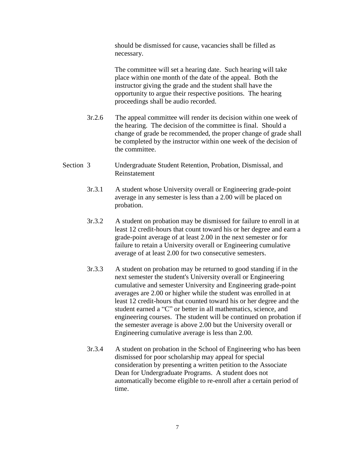should be dismissed for cause, vacancies shall be filled as necessary.

The committee will set a hearing date. Such hearing will take place within one month of the date of the appeal. Both the instructor giving the grade and the student shall have the opportunity to argue their respective positions. The hearing proceedings shall be audio recorded.

- 3r.2.6 The appeal committee will render its decision within one week of the hearing. The decision of the committee is final. Should a change of grade be recommended, the proper change of grade shall be completed by the instructor within one week of the decision of the committee.
- Section 3 Undergraduate Student Retention, Probation, Dismissal, and Reinstatement
	- 3r.3.1 A student whose University overall or Engineering grade-point average in any semester is less than a 2.00 will be placed on probation.
	- 3r.3.2 A student on probation may be dismissed for failure to enroll in at least 12 credit-hours that count toward his or her degree and earn a grade-point average of at least 2.00 in the next semester or for failure to retain a University overall or Engineering cumulative average of at least 2.00 for two consecutive semesters.
	- 3r.3.3 A student on probation may be returned to good standing if in the next semester the student's University overall or Engineering cumulative and semester University and Engineering grade-point averages are 2.00 or higher while the student was enrolled in at least 12 credit-hours that counted toward his or her degree and the student earned a "C" or better in all mathematics, science, and engineering courses. The student will be continued on probation if the semester average is above 2.00 but the University overall or Engineering cumulative average is less than 2.00.
	- 3r.3.4 A student on probation in the School of Engineering who has been dismissed for poor scholarship may appeal for special consideration by presenting a written petition to the Associate Dean for Undergraduate Programs. A student does not automatically become eligible to re-enroll after a certain period of time.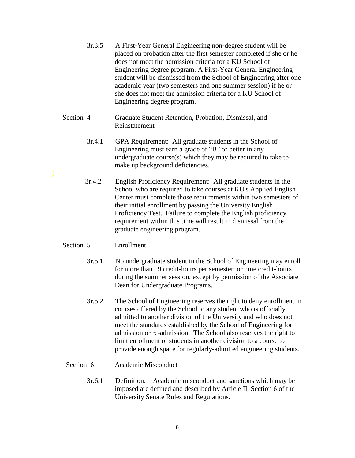| 3r.3.5 | A First-Year General Engineering non-degree student will be         |
|--------|---------------------------------------------------------------------|
|        | placed on probation after the first semester completed if she or he |
|        | does not meet the admission criteria for a KU School of             |
|        | Engineering degree program. A First-Year General Engineering        |
|        | student will be dismissed from the School of Engineering after one  |
|        | academic year (two semesters and one summer session) if he or       |
|        | she does not meet the admission criteria for a KU School of         |
|        | Engineering degree program.                                         |

- Section 4 Graduate Student Retention, Probation, Dismissal, and Reinstatement
	- 3r.4.1 GPA Requirement: All graduate students in the School of Engineering must earn a grade of "B" or better in any undergraduate course(s) which they may be required to take to make up background deficiencies.
	- 3r.4.2 English Proficiency Requirement: All graduate students in the School who are required to take courses at KU's Applied English Center must complete those requirements within two semesters of their initial enrollment by passing the University English Proficiency Test. Failure to complete the English proficiency requirement within this time will result in dismissal from the graduate engineering program.

## Section 5 Enrollment

- 3r.5.1 No undergraduate student in the School of Engineering may enroll for more than 19 credit-hours per semester, or nine credit-hours during the summer session, except by permission of the Associate Dean for Undergraduate Programs.
- 3r.5.2 The School of Engineering reserves the right to deny enrollment in courses offered by the School to any student who is officially admitted to another division of the University and who does not meet the standards established by the School of Engineering for admission or re-admission. The School also reserves the right to limit enrollment of students in another division to a course to provide enough space for regularly-admitted engineering students.

#### Section 6 Academic Misconduct

 3r.6.1 Definition: Academic misconduct and sanctions which may be imposed are defined and described by Article II, Section 6 of the University Senate Rules and Regulations.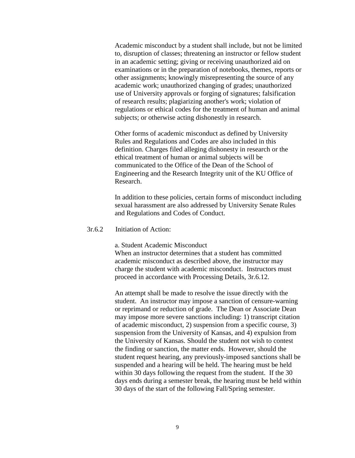Academic misconduct by a student shall include, but not be limited to, disruption of classes; threatening an instructor or fellow student in an academic setting; giving or receiving unauthorized aid on examinations or in the preparation of notebooks, themes, reports or other assignments; knowingly misrepresenting the source of any academic work; unauthorized changing of grades; unauthorized use of University approvals or forging of signatures; falsification of research results; plagiarizing another's work; violation of regulations or ethical codes for the treatment of human and animal subjects; or otherwise acting dishonestly in research.

Other forms of academic misconduct as defined by University Rules and Regulations and Codes are also included in this definition. Charges filed alleging dishonesty in research or the ethical treatment of human or animal subjects will be communicated to the Office of the Dean of the School of Engineering and the Research Integrity unit of the KU Office of Research.

In addition to these policies, certain forms of misconduct including sexual harassment are also addressed by University Senate Rules and Regulations and Codes of Conduct.

## 3r.6.2 Initiation of Action:

a. Student Academic Misconduct

When an instructor determines that a student has committed academic misconduct as described above, the instructor may charge the student with academic misconduct. Instructors must proceed in accordance with Processing Details, 3r.6.12.

An attempt shall be made to resolve the issue directly with the student. An instructor may impose a sanction of censure-warning or reprimand or reduction of grade. The Dean or Associate Dean may impose more severe sanctions including: 1) transcript citation of academic misconduct, 2) suspension from a specific course, 3) suspension from the University of Kansas, and 4) expulsion from the University of Kansas. Should the student not wish to contest the finding or sanction, the matter ends. However, should the student request hearing, any previously-imposed sanctions shall be suspended and a hearing will be held. The hearing must be held within 30 days following the request from the student. If the 30 days ends during a semester break, the hearing must be held within 30 days of the start of the following Fall/Spring semester.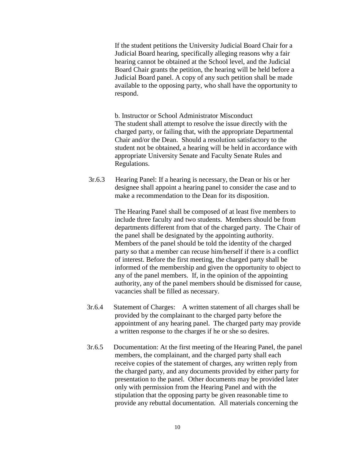If the student petitions the University Judicial Board Chair for a Judicial Board hearing, specifically alleging reasons why a fair hearing cannot be obtained at the School level, and the Judicial Board Chair grants the petition, the hearing will be held before a Judicial Board panel. A copy of any such petition shall be made available to the opposing party, who shall have the opportunity to respond.

b. Instructor or School Administrator Misconduct The student shall attempt to resolve the issue directly with the charged party, or failing that, with the appropriate Departmental Chair and/or the Dean. Should a resolution satisfactory to the student not be obtained, a hearing will be held in accordance with appropriate University Senate and Faculty Senate Rules and Regulations.

 3r.6.3 Hearing Panel: If a hearing is necessary, the Dean or his or her designee shall appoint a hearing panel to consider the case and to make a recommendation to the Dean for its disposition.

> The Hearing Panel shall be composed of at least five members to include three faculty and two students. Members should be from departments different from that of the charged party. The Chair of the panel shall be designated by the appointing authority. Members of the panel should be told the identity of the charged party so that a member can recuse him/herself if there is a conflict of interest. Before the first meeting, the charged party shall be informed of the membership and given the opportunity to object to any of the panel members. If, in the opinion of the appointing authority, any of the panel members should be dismissed for cause, vacancies shall be filled as necessary.

- 3r.6.4 Statement of Charges: A written statement of all charges shall be provided by the complainant to the charged party before the appointment of any hearing panel. The charged party may provide a written response to the charges if he or she so desires.
- 3r.6.5 Documentation: At the first meeting of the Hearing Panel, the panel members, the complainant, and the charged party shall each receive copies of the statement of charges, any written reply from the charged party, and any documents provided by either party for presentation to the panel. Other documents may be provided later only with permission from the Hearing Panel and with the stipulation that the opposing party be given reasonable time to provide any rebuttal documentation. All materials concerning the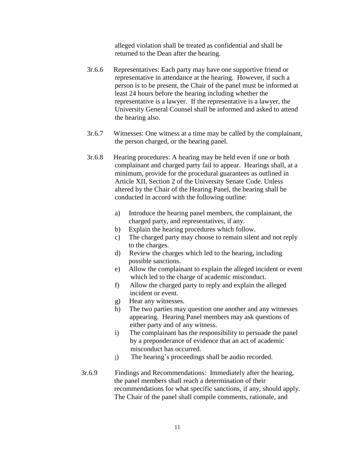alleged violation shall be treated as confidential and shall be returned to the Dean after the hearing.

- 3r.6.6 Representatives: Each party may have one supportive friend or representative in attendance at the hearing. However, if such a person is to be present, the Chair of the panel must be informed at least 24 hours before the hearing including whether the representative is a lawyer. If the representative is a lawyer, the University General Counsel shall be informed and asked to attend the hearing also.
- 3r.6.7 Witnesses: One witness at a time may be called by the complainant, the person charged, or the hearing panel.
- 3r.6.8 Hearing procedures: A hearing may be held even if one or both complainant and charged party fail to appear. Hearings shall, at a minimum, provide for the procedural guarantees as outlined in Article XII, Section 2 of the University Senate Code. Unless altered by the Chair of the Hearing Panel, the hearing shall be conducted in accord with the following outline:
	- a) Introduce the hearing panel members, the complainant, the charged party, and representatives, if any.
	- b) Explain the hearing procedures which follow.
	- c) The charged party may choose to remain silent and not reply to the charges.
	- d) Review the charges which led to the hearing, including possible sanctions.
	- e) Allow the complainant to explain the alleged incident or event which led to the charge of academic misconduct.
	- f) Allow the charged party to reply and explain the alleged incident or event.
	- g) Hear any witnesses.
	- h) The two parties may question one another and any witnesses appearing. Hearing Panel members may ask questions of either party and of any witness.
	- i) The complainant has the responsibility to persuade the panel by a preponderance of evidence that an act of academic misconduct has occurred.
	- j) The hearing's proceedings shall be audio recorded.
- 3r.6.9 Findings and Recommendations: Immediately after the hearing, the panel members shall reach a determination of their recommendations for what specific sanctions, if any, should apply. The Chair of the panel shall compile comments, rationale, and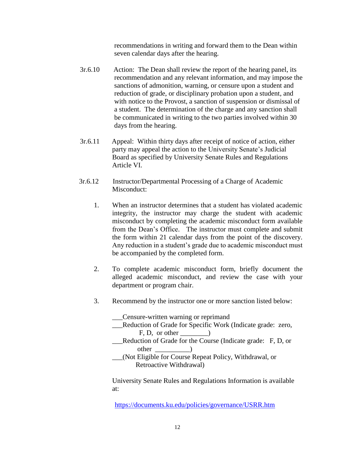recommendations in writing and forward them to the Dean within seven calendar days after the hearing.

- 3r.6.10 Action: The Dean shall review the report of the hearing panel, its recommendation and any relevant information, and may impose the sanctions of admonition, warning, or censure upon a student and reduction of grade, or disciplinary probation upon a student, and with notice to the Provost, a sanction of suspension or dismissal of a student. The determination of the charge and any sanction shall be communicated in writing to the two parties involved within 30 days from the hearing.
- 3r.6.11 Appeal: Within thirty days after receipt of notice of action, either party may appeal the action to the University Senate's Judicial Board as specified by University Senate Rules and Regulations Article VI.
- 3r.6.12 Instructor/Departmental Processing of a Charge of Academic Misconduct:
	- 1. When an instructor determines that a student has violated academic integrity, the instructor may charge the student with academic misconduct by completing the academic misconduct form available from the Dean's Office. The instructor must complete and submit the form within 21 calendar days from the point of the discovery. Any reduction in a student's grade due to academic misconduct must be accompanied by the completed form.
	- 2. To complete academic misconduct form, briefly document the alleged academic misconduct, and review the case with your department or program chair.
	- 3. Recommend by the instructor one or more sanction listed below:

\_\_\_Censure-written warning or reprimand Reduction of Grade for Specific Work (Indicate grade: zero,  $F, D,$  or other  $\qquad$ Reduction of Grade for the Course (Indicate grade: F, D, or other \_\_\_\_\_\_\_\_\_\_) \_\_\_(Not Eligible for Course Repeat Policy, Withdrawal, or Retroactive Withdrawal)

 University Senate Rules and Regulations Information is available at:

<https://documents.ku.edu/policies/governance/USRR.htm>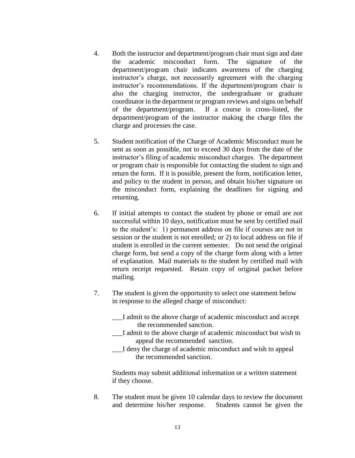- 4. Both the instructor and department/program chair must sign and date the academic misconduct form. The signature of the department/program chair indicates awareness of the charging instructor's charge, not necessarily agreement with the charging instructor's recommendations. If the department/program chair is also the charging instructor, the undergraduate or graduate coordinator in the department or program reviews and signs on behalf of the department/program. If a course is cross-listed, the department/program of the instructor making the charge files the charge and processes the case.
- 5. Student notification of the Charge of Academic Misconduct must be sent as soon as possible, not to exceed 30 days from the date of the instructor's filing of academic misconduct charges.The department or program chair is responsible for contacting the student to sign and return the form. If it is possible, present the form, notification letter, and policy to the student in person, and obtain his/her signature on the misconduct form, explaining the deadlines for signing and returning.
- 6. If initial attempts to contact the student by phone or email are not successful within 10 days, notification must be sent by certified mail to the student's: 1) permanent address on file if courses are not in session or the student is not enrolled; or 2) to local address on file if student is enrolled in the current semester. Do not send the original charge form, but send a copy of the charge form along with a letter of explanation. Mail materials to the student by certified mail with return receipt requested. Retain copy of original packet before mailing.
- 7. The student is given the opportunity to select one statement below in response to the alleged charge of misconduct:
	- \_\_\_I admit to the above charge of academic misconduct and accept the recommended sanction.
	- \_\_\_I admit to the above charge of academic misconduct but wish to appeal the recommended sanction.
	- \_\_\_I deny the charge of academic misconduct and wish to appeal the recommended sanction.

 Students may submit additional information or a written statement if they choose.

8. The student must be given 10 calendar days to review the document and determine his/her response. Students cannot be given the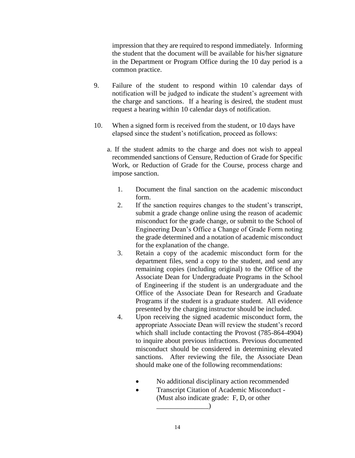impression that they are required to respond immediately. Informing the student that the document will be available for his/her signature in the Department or Program Office during the 10 day period is a common practice.

- 9. Failure of the student to respond within 10 calendar days of notification will be judged to indicate the student's agreement with the charge and sanctions. If a hearing is desired, the student must request a hearing within 10 calendar days of notification.
- 10. When a signed form is received from the student, or 10 days have elapsed since the student's notification, proceed as follows:
	- a. If the student admits to the charge and does not wish to appeal recommended sanctions of Censure, Reduction of Grade for Specific Work, or Reduction of Grade for the Course, process charge and impose sanction.
		- 1. Document the final sanction on the academic misconduct form.
		- 2. If the sanction requires changes to the student's transcript, submit a grade change online using the reason of academic misconduct for the grade change, or submit to the School of Engineering Dean's Office a Change of Grade Form noting the grade determined and a notation of academic misconduct for the explanation of the change.
		- 3. Retain a copy of the academic misconduct form for the department files, send a copy to the student, and send any remaining copies (including original) to the Office of the Associate Dean for Undergraduate Programs in the School of Engineering if the student is an undergraduate and the Office of the Associate Dean for Research and Graduate Programs if the student is a graduate student. All evidence presented by the charging instructor should be included.
		- 4. Upon receiving the signed academic misconduct form, the appropriate Associate Dean will review the student's record which shall include contacting the Provost (785-864-4904) to inquire about previous infractions. Previous documented misconduct should be considered in determining elevated sanctions. After reviewing the file, the Associate Dean should make one of the following recommendations:
			- No additional disciplinary action recommended
			- Transcript Citation of Academic Misconduct (Must also indicate grade: F, D, or other  $\qquad \qquad$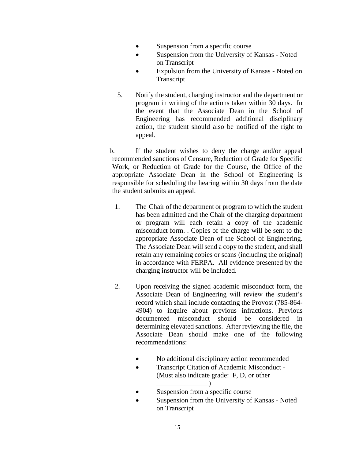- Suspension from a specific course
- Suspension from the University of Kansas Noted on Transcript
- Expulsion from the University of Kansas Noted on Transcript
- 5. Notify the student, charging instructor and the department or program in writing of the actions taken within 30 days. In the event that the Associate Dean in the School of Engineering has recommended additional disciplinary action, the student should also be notified of the right to appeal.

b. If the student wishes to deny the charge and/or appeal recommended sanctions of Censure, Reduction of Grade for Specific Work, or Reduction of Grade for the Course, the Office of the appropriate Associate Dean in the School of Engineering is responsible for scheduling the hearing within 30 days from the date the student submits an appeal.

- 1. The Chair of the department or program to which the student has been admitted and the Chair of the charging department or program will each retain a copy of the academic misconduct form. . Copies of the charge will be sent to the appropriate Associate Dean of the School of Engineering. The Associate Dean will send a copy to the student, and shall retain any remaining copies or scans (including the original) in accordance with FERPA. All evidence presented by the charging instructor will be included.
- 2. Upon receiving the signed academic misconduct form, the Associate Dean of Engineering will review the student's record which shall include contacting the Provost (785-864- 4904) to inquire about previous infractions. Previous documented misconduct should be considered in determining elevated sanctions. After reviewing the file, the Associate Dean should make one of the following recommendations:
	- No additional disciplinary action recommended
	- Transcript Citation of Academic Misconduct (Must also indicate grade: F, D, or other

 $\Box$ 

- Suspension from a specific course
- Suspension from the University of Kansas Noted on Transcript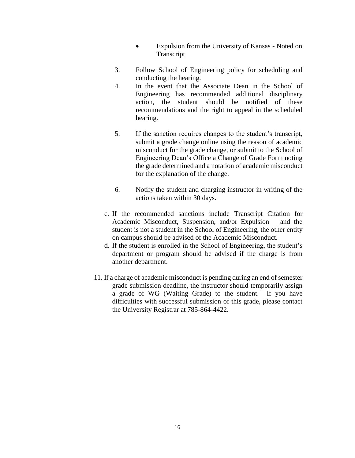- Expulsion from the University of Kansas Noted on Transcript
- 3. Follow School of Engineering policy for scheduling and conducting the hearing.
- 4. In the event that the Associate Dean in the School of Engineering has recommended additional disciplinary action, the student should be notified of these recommendations and the right to appeal in the scheduled hearing.
- 5. If the sanction requires changes to the student's transcript, submit a grade change online using the reason of academic misconduct for the grade change, or submit to the School of Engineering Dean's Office a Change of Grade Form noting the grade determined and a notation of academic misconduct for the explanation of the change.
- 6. Notify the student and charging instructor in writing of the actions taken within 30 days.
- c. If the recommended sanctions include Transcript Citation for Academic Misconduct, Suspension, and/or Expulsion and the student is not a student in the School of Engineering, the other entity on campus should be advised of the Academic Misconduct.
- d. If the student is enrolled in the School of Engineering, the student's department or program should be advised if the charge is from another department.
- 11. If a charge of academic misconduct is pending during an end of semester grade submission deadline, the instructor should temporarily assign a grade of WG (Waiting Grade) to the student. If you have difficulties with successful submission of this grade, please contact the University Registrar at 785-864-4422.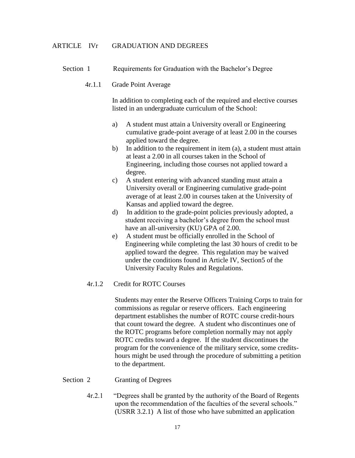#### ARTICLE IVr GRADUATION AND DEGREES

- Section 1 Requirements for Graduation with the Bachelor's Degree
	- 4r.1.1 Grade Point Average

In addition to completing each of the required and elective courses listed in an undergraduate curriculum of the School:

- a) A student must attain a University overall or Engineering cumulative grade-point average of at least 2.00 in the courses applied toward the degree.
- b) In addition to the requirement in item (a), a student must attain at least a 2.00 in all courses taken in the School of Engineering, including those courses not applied toward a degree.
- c) A student entering with advanced standing must attain a University overall or Engineering cumulative grade-point average of at least 2.00 in courses taken at the University of Kansas and applied toward the degree.
- d) In addition to the grade-point policies previously adopted, a student receiving a bachelor's degree from the school must have an all-university (KU) GPA of 2.00.
- e) A student must be officially enrolled in the School of Engineering while completing the last 30 hours of credit to be applied toward the degree. This regulation may be waived under the conditions found in Article IV, Section5 of the University Faculty Rules and Regulations.

## 4r.1.2 Credit for ROTC Courses

Students may enter the Reserve Officers Training Corps to train for commissions as regular or reserve officers. Each engineering department establishes the number of ROTC course credit-hours that count toward the degree. A student who discontinues one of the ROTC programs before completion normally may not apply ROTC credits toward a degree. If the student discontinues the program for the convenience of the military service, some creditshours might be used through the procedure of submitting a petition to the department.

- Section 2 Granting of Degrees
	- 4r.2.1 "Degrees shall be granted by the authority of the Board of Regents upon the recommendation of the faculties of the several schools." (USRR 3.2.1) A list of those who have submitted an application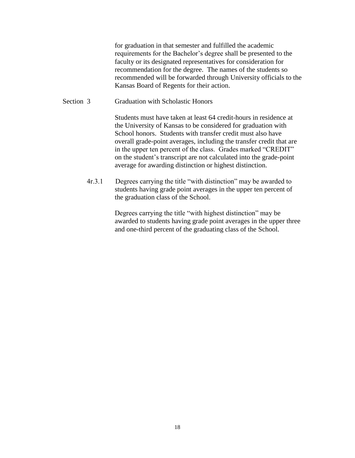for graduation in that semester and fulfilled the academic requirements for the Bachelor's degree shall be presented to the faculty or its designated representatives for consideration for recommendation for the degree. The names of the students so recommended will be forwarded through University officials to the Kansas Board of Regents for their action.

## Section 3 Graduation with Scholastic Honors

Students must have taken at least 64 credit-hours in residence at the University of Kansas to be considered for graduation with School honors. Students with transfer credit must also have overall grade-point averages, including the transfer credit that are in the upper ten percent of the class. Grades marked "CREDIT" on the student's transcript are not calculated into the grade-point average for awarding distinction or highest distinction.

 4r.3.1 Degrees carrying the title "with distinction" may be awarded to students having grade point averages in the upper ten percent of the graduation class of the School.

> Degrees carrying the title "with highest distinction" may be awarded to students having grade point averages in the upper three and one-third percent of the graduating class of the School.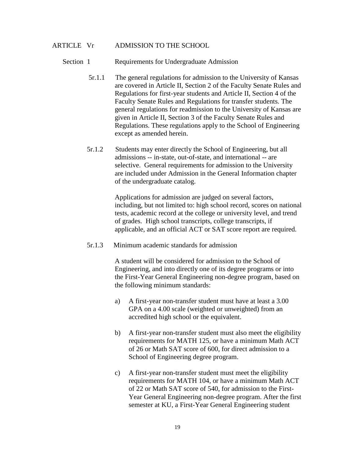### ARTICLE Vr ADMISSION TO THE SCHOOL

#### Section 1 Requirements for Undergraduate Admission

- 5r.1.1 The general regulations for admission to the University of Kansas are covered in Article II, Section 2 of the Faculty Senate Rules and Regulations for first-year students and Article II, Section 4 of the Faculty Senate Rules and Regulations for transfer students. The general regulations for readmission to the University of Kansas are given in Article II, Section 3 of the Faculty Senate Rules and Regulations. These regulations apply to the School of Engineering except as amended herein.
- 5r.1.2 Students may enter directly the School of Engineering, but all admissions -- in-state, out-of-state, and international -- are selective. General requirements for admission to the University are included under Admission in the General Information chapter of the undergraduate catalog.

Applications for admission are judged on several factors, including, but not limited to: high school record, scores on national tests, academic record at the college or university level, and trend of grades. High school transcripts, college transcripts, if applicable, and an official ACT or SAT score report are required.

5r.1.3 Minimum academic standards for admission

A student will be considered for admission to the School of Engineering, and into directly one of its degree programs or into the First-Year General Engineering non-degree program, based on the following minimum standards:

- a) A first-year non-transfer student must have at least a 3.00 GPA on a 4.00 scale (weighted or unweighted) from an accredited high school or the equivalent.
- b) A first-year non-transfer student must also meet the eligibility requirements for MATH 125, or have a minimum Math ACT of 26 or Math SAT score of 600, for direct admission to a School of Engineering degree program.
- c) A first-year non-transfer student must meet the eligibility requirements for MATH 104, or have a minimum Math ACT of 22 or Math SAT score of 540, for admission to the First-Year General Engineering non-degree program. After the first semester at KU, a First-Year General Engineering student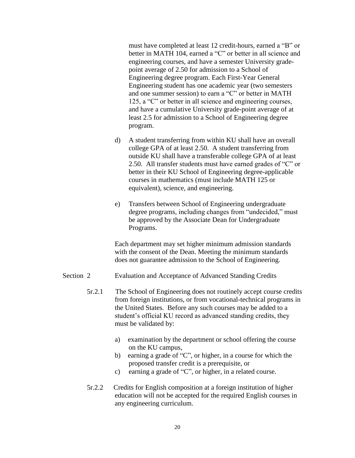must have completed at least 12 credit-hours, earned a "B" or better in MATH 104, earned a "C" or better in all science and engineering courses, and have a semester University gradepoint average of 2.50 for admission to a School of Engineering degree program. Each First-Year General Engineering student has one academic year (two semesters and one summer session) to earn a "C" or better in MATH 125, a "C" or better in all science and engineering courses, and have a cumulative University grade-point average of at least 2.5 for admission to a School of Engineering degree program.

- d) A student transferring from within KU shall have an overall college GPA of at least 2.50. A student transferring from outside KU shall have a transferable college GPA of at least 2.50. All transfer students must have earned grades of "C" or better in their KU School of Engineering degree-applicable courses in mathematics (must include MATH 125 or equivalent), science, and engineering.
- e) Transfers between School of Engineering undergraduate degree programs, including changes from "undecided," must be approved by the Associate Dean for Undergraduate Programs.

Each department may set higher minimum admission standards with the consent of the Dean. Meeting the minimum standards does not guarantee admission to the School of Engineering.

- Section 2 Evaluation and Acceptance of Advanced Standing Credits
	- 5r.2.1 The School of Engineering does not routinely accept course credits from foreign institutions, or from vocational-technical programs in the United States. Before any such courses may be added to a student's official KU record as advanced standing credits, they must be validated by:
		- a) examination by the department or school offering the course on the KU campus,
		- b) earning a grade of "C", or higher, in a course for which the proposed transfer credit is a prerequisite, or
		- c) earning a grade of "C", or higher, in a related course.
	- 5r.2.2 Credits for English composition at a foreign institution of higher education will not be accepted for the required English courses in any engineering curriculum.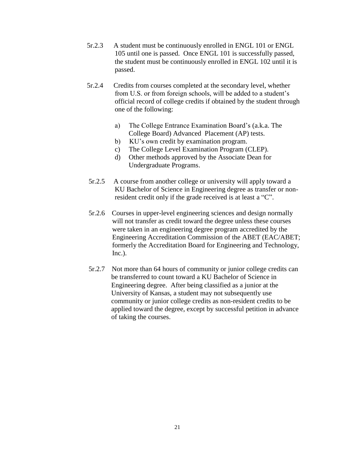- 5r.2.3 A student must be continuously enrolled in ENGL 101 or ENGL 105 until one is passed. Once ENGL 101 is successfully passed, the student must be continuously enrolled in ENGL 102 until it is passed.
- 5r.2.4 Credits from courses completed at the secondary level, whether from U.S. or from foreign schools, will be added to a student's official record of college credits if obtained by the student through one of the following:
	- a) The College Entrance Examination Board's (a.k.a. The College Board) Advanced Placement (AP) tests.
	- b) KU's own credit by examination program.
	- c) The College Level Examination Program (CLEP).
	- d) Other methods approved by the Associate Dean for Undergraduate Programs.
- 5r.2.5 A course from another college or university will apply toward a KU Bachelor of Science in Engineering degree as transfer or nonresident credit only if the grade received is at least a "C".
- 5r.2.6 Courses in upper-level engineering sciences and design normally will not transfer as credit toward the degree unless these courses were taken in an engineering degree program accredited by the Engineering Accreditation Commission of the ABET (EAC/ABET; formerly the Accreditation Board for Engineering and Technology,  $Inc.$ ).
- 5r.2.7 Not more than 64 hours of community or junior college credits can be transferred to count toward a KU Bachelor of Science in Engineering degree. After being classified as a junior at the University of Kansas, a student may not subsequently use community or junior college credits as non-resident credits to be applied toward the degree, except by successful petition in advance of taking the courses.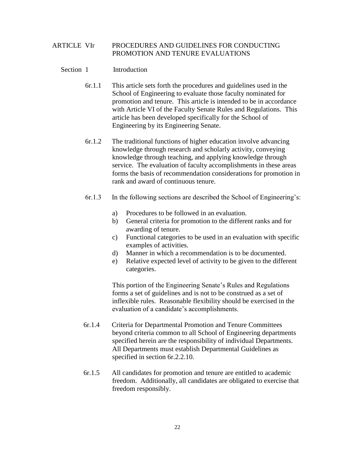## ARTICLE VIr PROCEDURES AND GUIDELINES FOR CONDUCTING PROMOTION AND TENURE EVALUATIONS

## Section 1 Introduction

- 6r.1.1 This article sets forth the procedures and guidelines used in the School of Engineering to evaluate those faculty nominated for promotion and tenure. This article is intended to be in accordance with Article VI of the Faculty Senate Rules and Regulations. This article has been developed specifically for the School of Engineering by its Engineering Senate.
- 6r.1.2 The traditional functions of higher education involve advancing knowledge through research and scholarly activity, conveying knowledge through teaching, and applying knowledge through service. The evaluation of faculty accomplishments in these areas forms the basis of recommendation considerations for promotion in rank and award of continuous tenure.
- 6r.1.3 In the following sections are described the School of Engineering's:
	- a) Procedures to be followed in an evaluation.
	- b) General criteria for promotion to the different ranks and for awarding of tenure.
	- c) Functional categories to be used in an evaluation with specific examples of activities.
	- d) Manner in which a recommendation is to be documented.
	- e) Relative expected level of activity to be given to the different categories.

This portion of the Engineering Senate's Rules and Regulations forms a set of guidelines and is not to be construed as a set of inflexible rules. Reasonable flexibility should be exercised in the evaluation of a candidate's accomplishments.

- 6r.1.4 Criteria for Departmental Promotion and Tenure Committees beyond criteria common to all School of Engineering departments specified herein are the responsibility of individual Departments. All Departments must establish Departmental Guidelines as specified in section 6r.2.2.10.
- 6r.1.5 All candidates for promotion and tenure are entitled to academic freedom. Additionally, all candidates are obligated to exercise that freedom responsibly.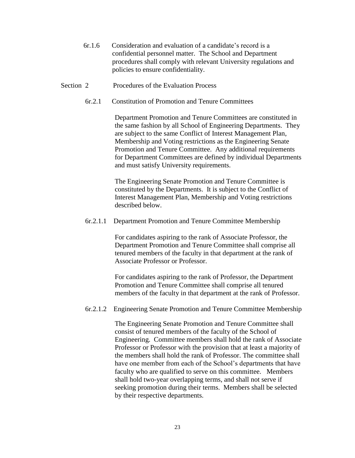- 6r.1.6 Consideration and evaluation of a candidate's record is a confidential personnel matter. The School and Department procedures shall comply with relevant University regulations and policies to ensure confidentiality.
- Section 2 Procedures of the Evaluation Process
	- 6r.2.1 Constitution of Promotion and Tenure Committees

Department Promotion and Tenure Committees are constituted in the same fashion by all School of Engineering Departments. They are subject to the same Conflict of Interest Management Plan, Membership and Voting restrictions as the Engineering Senate Promotion and Tenure Committee. Any additional requirements for Department Committees are defined by individual Departments and must satisfy University requirements.

The Engineering Senate Promotion and Tenure Committee is constituted by the Departments. It is subject to the Conflict of Interest Management Plan, Membership and Voting restrictions described below.

6r.2.1.1 Department Promotion and Tenure Committee Membership

For candidates aspiring to the rank of Associate Professor, the Department Promotion and Tenure Committee shall comprise all tenured members of the faculty in that department at the rank of Associate Professor or Professor.

For candidates aspiring to the rank of Professor, the Department Promotion and Tenure Committee shall comprise all tenured members of the faculty in that department at the rank of Professor.

#### 6r.2.1.2 Engineering Senate Promotion and Tenure Committee Membership

The Engineering Senate Promotion and Tenure Committee shall consist of tenured members of the faculty of the School of Engineering. Committee members shall hold the rank of Associate Professor or Professor with the provision that at least a majority of the members shall hold the rank of Professor. The committee shall have one member from each of the School's departments that have faculty who are qualified to serve on this committee. Members shall hold two-year overlapping terms, and shall not serve if seeking promotion during their terms. Members shall be selected by their respective departments.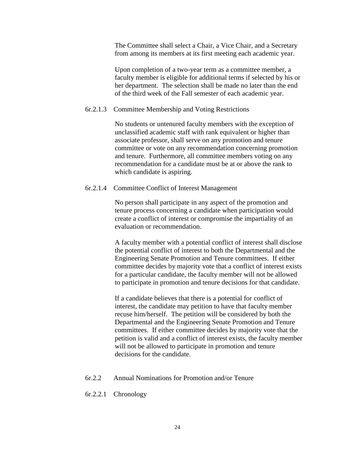The Committee shall select a Chair, a Vice Chair, and a Secretary from among its members at its first meeting each academic year.

Upon completion of a two-year term as a committee member, a faculty member is eligible for additional terms if selected by his or her department. The selection shall be made no later than the end of the third week of the Fall semester of each academic year.

#### 6r.2.1.3 Committee Membership and Voting Restrictions

No students or untenured faculty members with the exception of unclassified academic staff with rank equivalent or higher than associate professor, shall serve on any promotion and tenure committee or vote on any recommendation concerning promotion and tenure. Furthermore, all committee members voting on any recommendation for a candidate must be at or above the rank to which candidate is aspiring.

#### 6r.2.1.4 Committee Conflict of Interest Management

No person shall participate in any aspect of the promotion and tenure process concerning a candidate when participation would create a conflict of interest or compromise the impartiality of an evaluation or recommendation.

A faculty member with a potential conflict of interest shall disclose the potential conflict of interest to both the Departmental and the Engineering Senate Promotion and Tenure committees. If either committee decides by majority vote that a conflict of interest exists for a particular candidate, the faculty member will not be allowed to participate in promotion and tenure decisions for that candidate.

If a candidate believes that there is a potential for conflict of interest, the candidate may petition to have that faculty member recuse him/herself. The petition will be considered by both the Departmental and the Engineering Senate Promotion and Tenure committees. If either committee decides by majority vote that the petition is valid and a conflict of interest exists, the faculty member will not be allowed to participate in promotion and tenure decisions for the candidate.

- 6r.2.2 Annual Nominations for Promotion and/or Tenure
- 6r.2.2.1 Chronology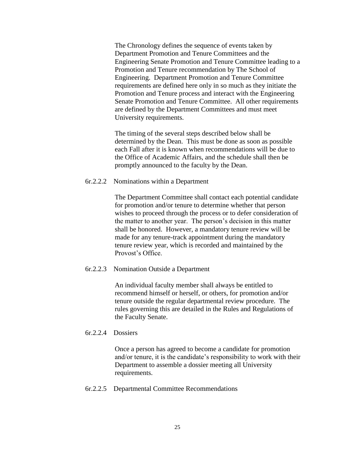The Chronology defines the sequence of events taken by Department Promotion and Tenure Committees and the Engineering Senate Promotion and Tenure Committee leading to a Promotion and Tenure recommendation by The School of Engineering. Department Promotion and Tenure Committee requirements are defined here only in so much as they initiate the Promotion and Tenure process and interact with the Engineering Senate Promotion and Tenure Committee. All other requirements are defined by the Department Committees and must meet University requirements.

 The timing of the several steps described below shall be determined by the Dean. This must be done as soon as possible each Fall after it is known when recommendations will be due to the Office of Academic Affairs, and the schedule shall then be promptly announced to the faculty by the Dean.

### 6r.2.2.2 Nominations within a Department

The Department Committee shall contact each potential candidate for promotion and/or tenure to determine whether that person wishes to proceed through the process or to defer consideration of the matter to another year. The person's decision in this matter shall be honored. However, a mandatory tenure review will be made for any tenure-track appointment during the mandatory tenure review year, which is recorded and maintained by the Provost's Office.

#### 6r.2.2.3 Nomination Outside a Department

An individual faculty member shall always be entitled to recommend himself or herself, or others, for promotion and/or tenure outside the regular departmental review procedure. The rules governing this are detailed in the Rules and Regulations of the Faculty Senate.

#### 6r.2.2.4 Dossiers

Once a person has agreed to become a candidate for promotion and/or tenure, it is the candidate's responsibility to work with their Department to assemble a dossier meeting all University requirements.

6r.2.2.5 Departmental Committee Recommendations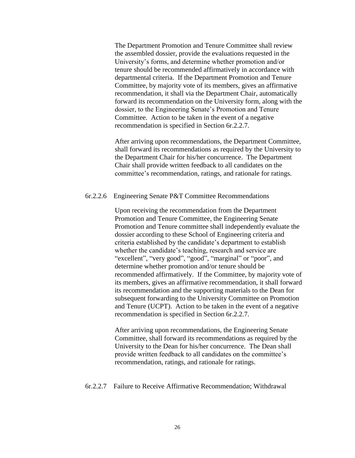The Department Promotion and Tenure Committee shall review the assembled dossier, provide the evaluations requested in the University's forms, and determine whether promotion and/or tenure should be recommended affirmatively in accordance with departmental criteria. If the Department Promotion and Tenure Committee, by majority vote of its members, gives an affirmative recommendation, it shall via the Department Chair, automatically forward its recommendation on the University form, along with the dossier, to the Engineering Senate's Promotion and Tenure Committee. Action to be taken in the event of a negative recommendation is specified in Section 6r.2.2.7.

After arriving upon recommendations, the Department Committee, shall forward its recommendations as required by the University to the Department Chair for his/her concurrence. The Department Chair shall provide written feedback to all candidates on the committee's recommendation, ratings, and rationale for ratings.

#### 6r.2.2.6 Engineering Senate P&T Committee Recommendations

 Upon receiving the recommendation from the Department Promotion and Tenure Committee, the Engineering Senate Promotion and Tenure committee shall independently evaluate the dossier according to these School of Engineering criteria and criteria established by the candidate's department to establish whether the candidate's teaching, research and service are "excellent", "very good", "good", "marginal" or "poor", and determine whether promotion and/or tenure should be recommended affirmatively. If the Committee, by majority vote of its members, gives an affirmative recommendation, it shall forward its recommendation and the supporting materials to the Dean for subsequent forwarding to the University Committee on Promotion and Tenure (UCPT). Action to be taken in the event of a negative recommendation is specified in Section 6r.2.2.7.

After arriving upon recommendations, the Engineering Senate Committee, shall forward its recommendations as required by the University to the Dean for his/her concurrence. The Dean shall provide written feedback to all candidates on the committee's recommendation, ratings, and rationale for ratings.

#### 6r.2.2.7 Failure to Receive Affirmative Recommendation; Withdrawal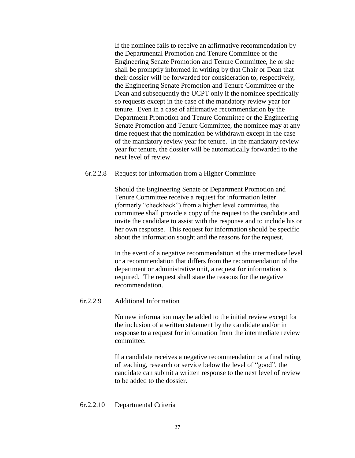If the nominee fails to receive an affirmative recommendation by the Departmental Promotion and Tenure Committee or the Engineering Senate Promotion and Tenure Committee, he or she shall be promptly informed in writing by that Chair or Dean that their dossier will be forwarded for consideration to, respectively, the Engineering Senate Promotion and Tenure Committee or the Dean and subsequently the UCPT only if the nominee specifically so requests except in the case of the mandatory review year for tenure. Even in a case of affirmative recommendation by the Department Promotion and Tenure Committee or the Engineering Senate Promotion and Tenure Committee, the nominee may at any time request that the nomination be withdrawn except in the case of the mandatory review year for tenure. In the mandatory review year for tenure, the dossier will be automatically forwarded to the next level of review.

#### 6r.2.2.8 Request for Information from a Higher Committee

Should the Engineering Senate or Department Promotion and Tenure Committee receive a request for information letter (formerly "checkback") from a higher level committee, the committee shall provide a copy of the request to the candidate and invite the candidate to assist with the response and to include his or her own response. This request for information should be specific about the information sought and the reasons for the request.

In the event of a negative recommendation at the intermediate level or a recommendation that differs from the recommendation of the department or administrative unit, a request for information is required. The request shall state the reasons for the negative recommendation.

#### 6r.2.2.9 Additional Information

No new information may be added to the initial review except for the inclusion of a written statement by the candidate and/or in response to a request for information from the intermediate review committee.

If a candidate receives a negative recommendation or a final rating of teaching, research or service below the level of "good", the candidate can submit a written response to the next level of review to be added to the dossier.

#### 6r.2.2.10 Departmental Criteria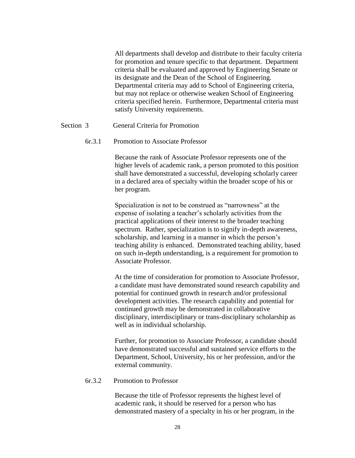All departments shall develop and distribute to their faculty criteria for promotion and tenure specific to that department. Department criteria shall be evaluated and approved by Engineering Senate or its designate and the Dean of the School of Engineering. Departmental criteria may add to School of Engineering criteria, but may not replace or otherwise weaken School of Engineering criteria specified herein. Furthermore, Departmental criteria must satisfy University requirements.

## Section 3 General Criteria for Promotion

#### 6r.3.1 Promotion to Associate Professor

Because the rank of Associate Professor represents one of the higher levels of academic rank, a person promoted to this position shall have demonstrated a successful, developing scholarly career in a declared area of specialty within the broader scope of his or her program.

Specialization is not to be construed as "narrowness" at the expense of isolating a teacher's scholarly activities from the practical applications of their interest to the broader teaching spectrum. Rather, specialization is to signify in-depth awareness, scholarship, and learning in a manner in which the person's teaching ability is enhanced. Demonstrated teaching ability, based on such in-depth understanding, is a requirement for promotion to Associate Professor.

At the time of consideration for promotion to Associate Professor, a candidate must have demonstrated sound research capability and potential for continued growth in research and/or professional development activities. The research capability and potential for continued growth may be demonstrated in collaborative disciplinary, interdisciplinary or trans-disciplinary scholarship as well as in individual scholarship.

Further, for promotion to Associate Professor, a candidate should have demonstrated successful and sustained service efforts to the Department, School, University, his or her profession, and/or the external community.

#### 6r.3.2 Promotion to Professor

Because the title of Professor represents the highest level of academic rank, it should be reserved for a person who has demonstrated mastery of a specialty in his or her program, in the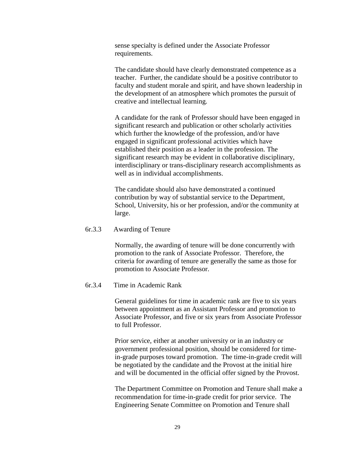sense specialty is defined under the Associate Professor requirements.

The candidate should have clearly demonstrated competence as a teacher. Further, the candidate should be a positive contributor to faculty and student morale and spirit, and have shown leadership in the development of an atmosphere which promotes the pursuit of creative and intellectual learning.

A candidate for the rank of Professor should have been engaged in significant research and publication or other scholarly activities which further the knowledge of the profession, and/or have engaged in significant professional activities which have established their position as a leader in the profession. The significant research may be evident in collaborative disciplinary, interdisciplinary or trans-disciplinary research accomplishments as well as in individual accomplishments.

The candidate should also have demonstrated a continued contribution by way of substantial service to the Department, School, University, his or her profession, and/or the community at large.

#### 6r.3.3 Awarding of Tenure

Normally, the awarding of tenure will be done concurrently with promotion to the rank of Associate Professor. Therefore, the criteria for awarding of tenure are generally the same as those for promotion to Associate Professor.

#### 6r.3.4 Time in Academic Rank

General guidelines for time in academic rank are five to six years between appointment as an Assistant Professor and promotion to Associate Professor, and five or six years from Associate Professor to full Professor.

Prior service, either at another university or in an industry or government professional position, should be considered for timein-grade purposes toward promotion. The time-in-grade credit will be negotiated by the candidate and the Provost at the initial hire and will be documented in the official offer signed by the Provost.

The Department Committee on Promotion and Tenure shall make a recommendation for time-in-grade credit for prior service. The Engineering Senate Committee on Promotion and Tenure shall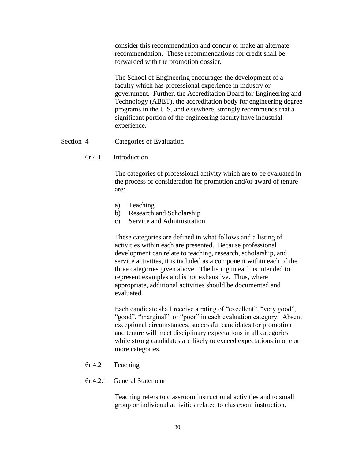consider this recommendation and concur or make an alternate recommendation. These recommendations for credit shall be forwarded with the promotion dossier.

The School of Engineering encourages the development of a faculty which has professional experience in industry or government. Further, the Accreditation Board for Engineering and Technology (ABET), the accreditation body for engineering degree programs in the U.S. and elsewhere, strongly recommends that a significant portion of the engineering faculty have industrial experience.

## Section 4 Categories of Evaluation

#### 6r.4.1 Introduction

The categories of professional activity which are to be evaluated in the process of consideration for promotion and/or award of tenure are:

- a) Teaching
- b) Research and Scholarship
- c) Service and Administration

These categories are defined in what follows and a listing of activities within each are presented. Because professional development can relate to teaching, research, scholarship, and service activities, it is included as a component within each of the three categories given above. The listing in each is intended to represent examples and is not exhaustive. Thus, where appropriate, additional activities should be documented and evaluated.

Each candidate shall receive a rating of "excellent", "very good", "good", "marginal", or "poor" in each evaluation category. Absent exceptional circumstances, successful candidates for promotion and tenure will meet disciplinary expectations in all categories while strong candidates are likely to exceed expectations in one or more categories.

#### 6r.4.2 Teaching

#### 6r.4.2.1 General Statement

Teaching refers to classroom instructional activities and to small group or individual activities related to classroom instruction.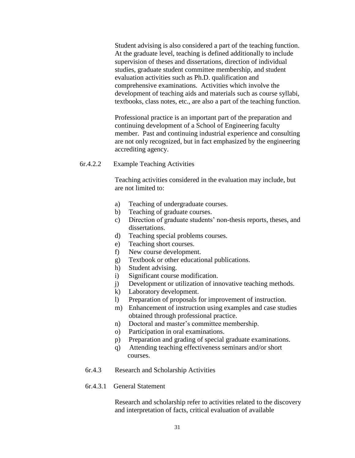Student advising is also considered a part of the teaching function. At the graduate level, teaching is defined additionally to include supervision of theses and dissertations, direction of individual studies, graduate student committee membership, and student evaluation activities such as Ph.D. qualification and comprehensive examinations. Activities which involve the development of teaching aids and materials such as course syllabi, textbooks, class notes, etc., are also a part of the teaching function.

Professional practice is an important part of the preparation and continuing development of a School of Engineering faculty member. Past and continuing industrial experience and consulting are not only recognized, but in fact emphasized by the engineering accrediting agency.

6r.4.2.2 Example Teaching Activities

Teaching activities considered in the evaluation may include, but are not limited to:

- a) Teaching of undergraduate courses.
- b) Teaching of graduate courses.
- c) Direction of graduate students' non-thesis reports, theses, and dissertations.
- d) Teaching special problems courses.
- e) Teaching short courses.
- f) New course development.
- g) Textbook or other educational publications.
- h) Student advising.
- i) Significant course modification.
- j) Development or utilization of innovative teaching methods.
- k) Laboratory development.
- l) Preparation of proposals for improvement of instruction.
- m) Enhancement of instruction using examples and case studies obtained through professional practice.
- n) Doctoral and master's committee membership.
- o) Participation in oral examinations.
- p) Preparation and grading of special graduate examinations.
- q) Attending teaching effectiveness seminars and/or short courses.
- 6r.4.3 Research and Scholarship Activities

## 6r.4.3.1 General Statement

Research and scholarship refer to activities related to the discovery and interpretation of facts, critical evaluation of available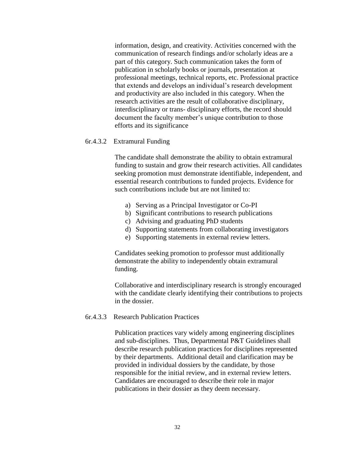information, design, and creativity. Activities concerned with the communication of research findings and/or scholarly ideas are a part of this category. Such communication takes the form of publication in scholarly books or journals, presentation at professional meetings, technical reports, etc. Professional practice that extends and develops an individual's research development and productivity are also included in this category. When the research activities are the result of collaborative disciplinary, interdisciplinary or trans- disciplinary efforts, the record should document the faculty member's unique contribution to those efforts and its significance

### 6r.4.3.2 Extramural Funding

The candidate shall demonstrate the ability to obtain extramural funding to sustain and grow their research activities. All candidates seeking promotion must demonstrate identifiable, independent, and essential research contributions to funded projects. Evidence for such contributions include but are not limited to:

- a) Serving as a Principal Investigator or Co-PI
- b) Significant contributions to research publications
- c) Advising and graduating PhD students
- d) Supporting statements from collaborating investigators
- e) Supporting statements in external review letters.

Candidates seeking promotion to professor must additionally demonstrate the ability to independently obtain extramural funding.

Collaborative and interdisciplinary research is strongly encouraged with the candidate clearly identifying their contributions to projects in the dossier.

## 6r.4.3.3 Research Publication Practices

Publication practices vary widely among engineering disciplines and sub-disciplines. Thus, Departmental P&T Guidelines shall describe research publication practices for disciplines represented by their departments. Additional detail and clarification may be provided in individual dossiers by the candidate, by those responsible for the initial review, and in external review letters. Candidates are encouraged to describe their role in major publications in their dossier as they deem necessary.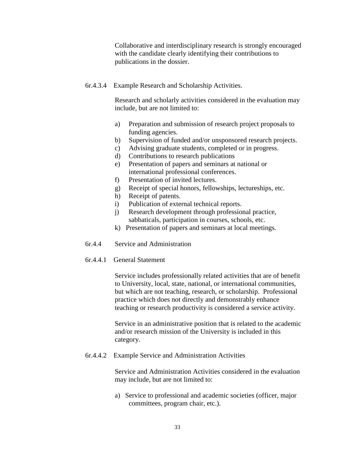Collaborative and interdisciplinary research is strongly encouraged with the candidate clearly identifying their contributions to publications in the dossier.

6r.4.3.4 Example Research and Scholarship Activities.

Research and scholarly activities considered in the evaluation may include, but are not limited to:

- a) Preparation and submission of research project proposals to funding agencies.
- b) Supervision of funded and/or unsponsored research projects.
- c) Advising graduate students, completed or in progress.
- d) Contributions to research publications
- e) Presentation of papers and seminars at national or international professional conferences.
- f) Presentation of invited lectures.
- g) Receipt of special honors, fellowships, lectureships, etc.
- h) Receipt of patents.
- i) Publication of external technical reports.
- j) Research development through professional practice, sabbaticals, participation in courses, schools, etc.
- k) Presentation of papers and seminars at local meetings.
- 6r.4.4 Service and Administration
- 6r.4.4.1 General Statement

Service includes professionally related activities that are of benefit to University, local, state, national, or international communities, but which are not teaching, research, or scholarship. Professional practice which does not directly and demonstrably enhance teaching or research productivity is considered a service activity.

Service in an administrative position that is related to the academic and/or research mission of the University is included in this category.

6r.4.4.2 Example Service and Administration Activities

Service and Administration Activities considered in the evaluation may include, but are not limited to:

a) Service to professional and academic societies (officer, major committees, program chair, etc.).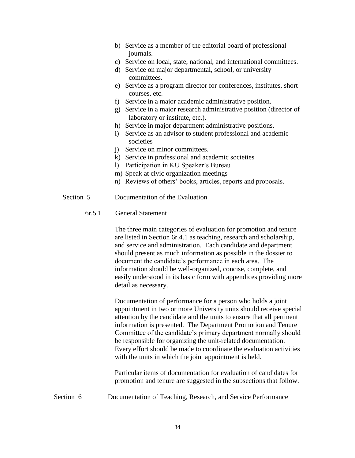- b) Service as a member of the editorial board of professional journals.
- c) Service on local, state, national, and international committees.
- d) Service on major departmental, school, or university committees.
- e) Service as a program director for conferences, institutes, short courses, etc.
- f) Service in a major academic administrative position.
- g) Service in a major research administrative position (director of laboratory or institute, etc.).
- h) Service in major department administrative positions.
- i) Service as an advisor to student professional and academic societies
- j) Service on minor committees.
- k) Service in professional and academic societies
- l) Participation in KU Speaker's Bureau
- m) Speak at civic organization meetings
- n) Reviews of others' books, articles, reports and proposals.
- Section 5 Documentation of the Evaluation
	- 6r.5.1 General Statement

The three main categories of evaluation for promotion and tenure are listed in Section 6r.4.1 as teaching, research and scholarship, and service and administration. Each candidate and department should present as much information as possible in the dossier to document the candidate's performance in each area. The information should be well-organized, concise, complete, and easily understood in its basic form with appendices providing more detail as necessary.

Documentation of performance for a person who holds a joint appointment in two or more University units should receive special attention by the candidate and the units to ensure that all pertinent information is presented. The Department Promotion and Tenure Committee of the candidate's primary department normally should be responsible for organizing the unit-related documentation. Every effort should be made to coordinate the evaluation activities with the units in which the joint appointment is held.

Particular items of documentation for evaluation of candidates for promotion and tenure are suggested in the subsections that follow.

Section 6 Documentation of Teaching, Research, and Service Performance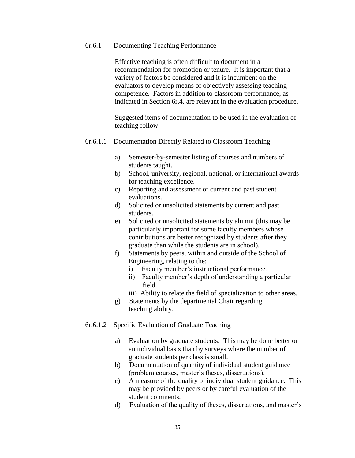#### 6r.6.1 Documenting Teaching Performance

Effective teaching is often difficult to document in a recommendation for promotion or tenure. It is important that a variety of factors be considered and it is incumbent on the evaluators to develop means of objectively assessing teaching competence. Factors in addition to classroom performance, as indicated in Section 6r.4, are relevant in the evaluation procedure.

Suggested items of documentation to be used in the evaluation of teaching follow.

#### 6r.6.1.1 Documentation Directly Related to Classroom Teaching

- a) Semester-by-semester listing of courses and numbers of students taught.
- b) School, university, regional, national, or international awards for teaching excellence.
- c) Reporting and assessment of current and past student evaluations.
- d) Solicited or unsolicited statements by current and past students.
- e) Solicited or unsolicited statements by alumni (this may be particularly important for some faculty members whose contributions are better recognized by students after they graduate than while the students are in school).
- f) Statements by peers, within and outside of the School of Engineering, relating to the:
	- i) Faculty member's instructional performance.
	- ii) Faculty member's depth of understanding a particular field.
	- iii) Ability to relate the field of specialization to other areas.
- g) Statements by the departmental Chair regarding teaching ability.
- 6r.6.1.2 Specific Evaluation of Graduate Teaching
	- a) Evaluation by graduate students. This may be done better on an individual basis than by surveys where the number of graduate students per class is small.
	- b) Documentation of quantity of individual student guidance (problem courses, master's theses, dissertations).
	- c) A measure of the quality of individual student guidance. This may be provided by peers or by careful evaluation of the student comments.
	- d) Evaluation of the quality of theses, dissertations, and master's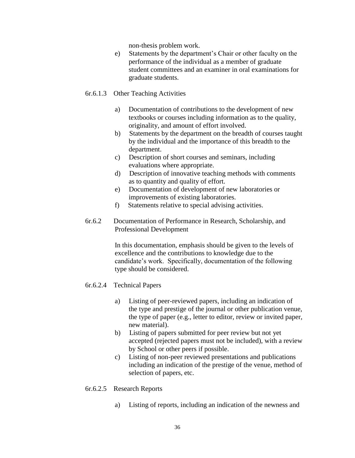non-thesis problem work.

 e) Statements by the department's Chair or other faculty on the performance of the individual as a member of graduate student committees and an examiner in oral examinations for graduate students.

## 6r.6.1.3 Other Teaching Activities

- a) Documentation of contributions to the development of new textbooks or courses including information as to the quality, originality, and amount of effort involved.
- b) Statements by the department on the breadth of courses taught by the individual and the importance of this breadth to the department.
- c) Description of short courses and seminars, including evaluations where appropriate.
- d) Description of innovative teaching methods with comments as to quantity and quality of effort.
- e) Documentation of development of new laboratories or improvements of existing laboratories.
- f) Statements relative to special advising activities.
- 6r.6.2 Documentation of Performance in Research, Scholarship, and Professional Development

 In this documentation, emphasis should be given to the levels of excellence and the contributions to knowledge due to the candidate's work. Specifically, documentation of the following type should be considered.

## 6r.6.2.4 Technical Papers

- a) Listing of peer-reviewed papers, including an indication of the type and prestige of the journal or other publication venue, the type of paper (e.g., letter to editor, review or invited paper, new material).
- b) Listing of papers submitted for peer review but not yet accepted (rejected papers must not be included), with a review by School or other peers if possible.
- c) Listing of non-peer reviewed presentations and publications including an indication of the prestige of the venue, method of selection of papers, etc.
- 6r.6.2.5 Research Reports
	- a) Listing of reports, including an indication of the newness and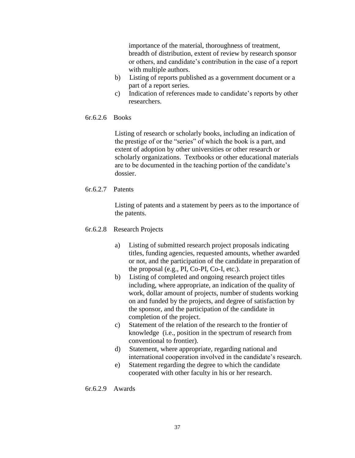importance of the material, thoroughness of treatment, breadth of distribution, extent of review by research sponsor or others, and candidate's contribution in the case of a report with multiple authors.

- b) Listing of reports published as a government document or a part of a report series.
- c) Indication of references made to candidate's reports by other researchers.

## 6r.6.2.6 Books

Listing of research or scholarly books, including an indication of the prestige of or the "series" of which the book is a part, and extent of adoption by other universities or other research or scholarly organizations. Textbooks or other educational materials are to be documented in the teaching portion of the candidate's dossier.

## 6r.6.2.7 Patents

Listing of patents and a statement by peers as to the importance of the patents.

## 6r.6.2.8 Research Projects

- a) Listing of submitted research project proposals indicating titles, funding agencies, requested amounts, whether awarded or not, and the participation of the candidate in preparation of the proposal (e.g., PI, Co-PI, Co-I, etc.).
- b) Listing of completed and ongoing research project titles including, where appropriate, an indication of the quality of work, dollar amount of projects, number of students working on and funded by the projects, and degree of satisfaction by the sponsor, and the participation of the candidate in completion of the project.
- c) Statement of the relation of the research to the frontier of knowledge (i.e., position in the spectrum of research from conventional to frontier).
- d) Statement, where appropriate, regarding national and international cooperation involved in the candidate's research.
- e) Statement regarding the degree to which the candidate cooperated with other faculty in his or her research.

## 6r.6.2.9 Awards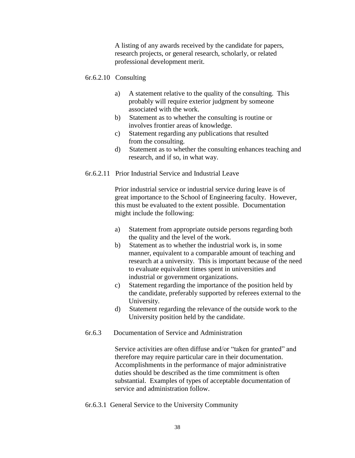A listing of any awards received by the candidate for papers, research projects, or general research, scholarly, or related professional development merit.

## 6r.6.2.10 Consulting

- a) A statement relative to the quality of the consulting. This probably will require exterior judgment by someone associated with the work.
- b) Statement as to whether the consulting is routine or involves frontier areas of knowledge.
- c) Statement regarding any publications that resulted from the consulting.
- d) Statement as to whether the consulting enhances teaching and research, and if so, in what way.
- 6r.6.2.11 Prior Industrial Service and Industrial Leave

 Prior industrial service or industrial service during leave is of great importance to the School of Engineering faculty. However, this must be evaluated to the extent possible. Documentation might include the following:

- a) Statement from appropriate outside persons regarding both the quality and the level of the work.
- b) Statement as to whether the industrial work is, in some manner, equivalent to a comparable amount of teaching and research at a university. This is important because of the need to evaluate equivalent times spent in universities and industrial or government organizations.
- c) Statement regarding the importance of the position held by the candidate, preferably supported by referees external to the University.
- d) Statement regarding the relevance of the outside work to the University position held by the candidate.
- 6r.6.3 Documentation of Service and Administration

Service activities are often diffuse and/or "taken for granted" and therefore may require particular care in their documentation. Accomplishments in the performance of major administrative duties should be described as the time commitment is often substantial. Examples of types of acceptable documentation of service and administration follow.

6r.6.3.1 General Service to the University Community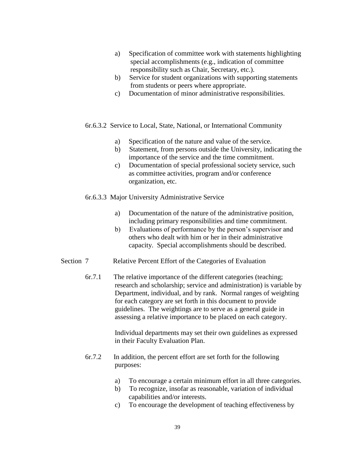- a) Specification of committee work with statements highlighting special accomplishments (e.g., indication of committee responsibility such as Chair, Secretary, etc.).
- b) Service for student organizations with supporting statements from students or peers where appropriate.
- c) Documentation of minor administrative responsibilities.
- 6r.6.3.2 Service to Local, State, National, or International Community
	- a) Specification of the nature and value of the service.
	- b) Statement, from persons outside the University, indicating the importance of the service and the time commitment.
	- c) Documentation of special professional society service, such as committee activities, program and/or conference organization, etc.
- 6r.6.3.3 Major University Administrative Service
	- a) Documentation of the nature of the administrative position, including primary responsibilities and time commitment.
	- b) Evaluations of performance by the person's supervisor and others who dealt with him or her in their administrative capacity. Special accomplishments should be described.
- Section 7 Relative Percent Effort of the Categories of Evaluation
	- 6r.7.1 The relative importance of the different categories (teaching; research and scholarship; service and administration) is variable by Department, individual, and by rank. Normal ranges of weighting for each category are set forth in this document to provide guidelines. The weightings are to serve as a general guide in assessing a relative importance to be placed on each category.

Individual departments may set their own guidelines as expressed in their Faculty Evaluation Plan.

- 6r.7.2 In addition, the percent effort are set forth for the following purposes:
	- a) To encourage a certain minimum effort in all three categories.
	- b) To recognize, insofar as reasonable, variation of individual capabilities and/or interests.
	- c) To encourage the development of teaching effectiveness by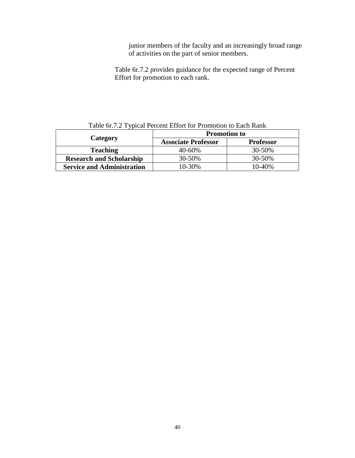junior members of the faculty and an increasingly broad range of activities on the part of senior members.

Table 6r.7.2 provides guidance for the expected range of Percent Effort for promotion to each rank.

|                                   | <b>Promotion to</b>        |                  |  |  |  |
|-----------------------------------|----------------------------|------------------|--|--|--|
| Category                          | <b>Associate Professor</b> | <b>Professor</b> |  |  |  |
| <b>Teaching</b>                   | 40-60%                     | 30-50%           |  |  |  |
| <b>Research and Scholarship</b>   | 30-50%                     | 30-50%           |  |  |  |
| <b>Service and Administration</b> | 10-30%                     | 10-40%           |  |  |  |

Table 6r.7.2 Typical Percent Effort for Promotion to Each Rank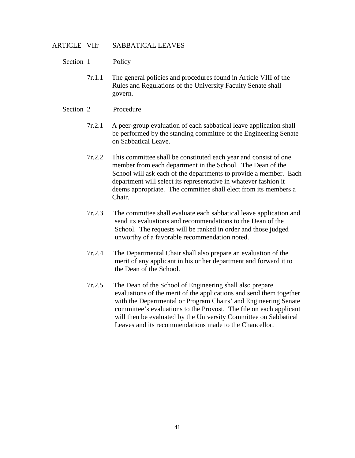## ARTICLE VIIr SABBATICAL LEAVES

- Section 1 Policy
	- 7r.1.1 The general policies and procedures found in Article VIII of the Rules and Regulations of the University Faculty Senate shall govern.

## Section 2 Procedure

- 7r.2.1 A peer-group evaluation of each sabbatical leave application shall be performed by the standing committee of the Engineering Senate on Sabbatical Leave.
- 7r.2.2 This committee shall be constituted each year and consist of one member from each department in the School. The Dean of the School will ask each of the departments to provide a member. Each department will select its representative in whatever fashion it deems appropriate. The committee shall elect from its members a Chair.
- 7r.2.3 The committee shall evaluate each sabbatical leave application and send its evaluations and recommendations to the Dean of the School. The requests will be ranked in order and those judged unworthy of a favorable recommendation noted.
- 7r.2.4 The Departmental Chair shall also prepare an evaluation of the merit of any applicant in his or her department and forward it to the Dean of the School.
- 7r.2.5 The Dean of the School of Engineering shall also prepare evaluations of the merit of the applications and send them together with the Departmental or Program Chairs' and Engineering Senate committee's evaluations to the Provost. The file on each applicant will then be evaluated by the University Committee on Sabbatical Leaves and its recommendations made to the Chancellor.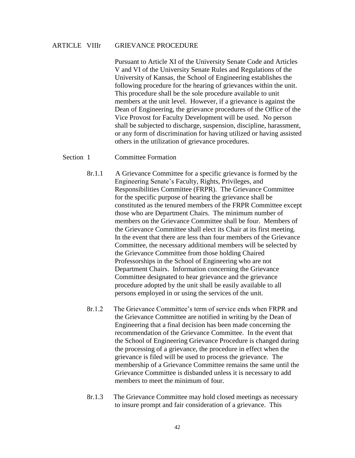## ARTICLE VIIIr GRIEVANCE PROCEDURE

Pursuant to Article XI of the University Senate Code and Articles V and VI of the University Senate Rules and Regulations of the University of Kansas, the School of Engineering establishes the following procedure for the hearing of grievances within the unit. This procedure shall be the sole procedure available to unit members at the unit level. However, if a grievance is against the Dean of Engineering, the grievance procedures of the Office of the Vice Provost for Faculty Development will be used. No person shall be subjected to discharge, suspension, discipline, harassment, or any form of discrimination for having utilized or having assisted others in the utilization of grievance procedures.

#### Section 1 Committee Formation

- 8r.1.1 A Grievance Committee for a specific grievance is formed by the Engineering Senate's Faculty, Rights, Privileges, and Responsibilities Committee (FRPR). The Grievance Committee for the specific purpose of hearing the grievance shall be constituted as the tenured members of the FRPR Committee except those who are Department Chairs. The minimum number of members on the Grievance Committee shall be four. Members of the Grievance Committee shall elect its Chair at its first meeting. In the event that there are less than four members of the Grievance Committee, the necessary additional members will be selected by the Grievance Committee from those holding Chaired Professorships in the School of Engineering who are not Department Chairs. Information concerning the Grievance Committee designated to hear grievance and the grievance procedure adopted by the unit shall be easily available to all persons employed in or using the services of the unit.
- 8r.1.2 The Grievance Committee's term of service ends when FRPR and the Grievance Committee are notified in writing by the Dean of Engineering that a final decision has been made concerning the recommendation of the Grievance Committee. In the event that the School of Engineering Grievance Procedure is changed during the processing of a grievance, the procedure in effect when the grievance is filed will be used to process the grievance. The membership of a Grievance Committee remains the same until the Grievance Committee is disbanded unless it is necessary to add members to meet the minimum of four.
- 8r.1.3 The Grievance Committee may hold closed meetings as necessary to insure prompt and fair consideration of a grievance. This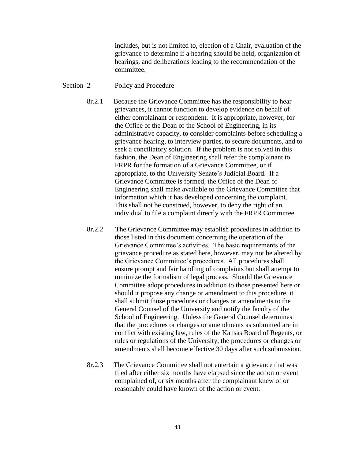includes, but is not limited to, election of a Chair, evaluation of the grievance to determine if a hearing should be held, organization of hearings, and deliberations leading to the recommendation of the committee.

#### Section 2 Policy and Procedure

- 8r.2.1 Because the Grievance Committee has the responsibility to hear grievances, it cannot function to develop evidence on behalf of either complainant or respondent. It is appropriate, however, for the Office of the Dean of the School of Engineering, in its administrative capacity, to consider complaints before scheduling a grievance hearing, to interview parties, to secure documents, and to seek a conciliatory solution. If the problem is not solved in this fashion, the Dean of Engineering shall refer the complainant to FRPR for the formation of a Grievance Committee, or if appropriate, to the University Senate's Judicial Board. If a Grievance Committee is formed, the Office of the Dean of Engineering shall make available to the Grievance Committee that information which it has developed concerning the complaint. This shall not be construed, however, to deny the right of an individual to file a complaint directly with the FRPR Committee.
- 8r.2.2 The Grievance Committee may establish procedures in addition to those listed in this document concerning the operation of the Grievance Committee's activities. The basic requirements of the grievance procedure as stated here, however, may not be altered by the Grievance Committee's procedures. All procedures shall ensure prompt and fair handling of complaints but shall attempt to minimize the formalism of legal process. Should the Grievance Committee adopt procedures in addition to those presented here or should it propose any change or amendment to this procedure, it shall submit those procedures or changes or amendments to the General Counsel of the University and notify the faculty of the School of Engineering. Unless the General Counsel determines that the procedures or changes or amendments as submitted are in conflict with existing law, rules of the Kansas Board of Regents, or rules or regulations of the University, the procedures or changes or amendments shall become effective 30 days after such submission.
- 8r.2.3 The Grievance Committee shall not entertain a grievance that was filed after either six months have elapsed since the action or event complained of, or six months after the complainant knew of or reasonably could have known of the action or event.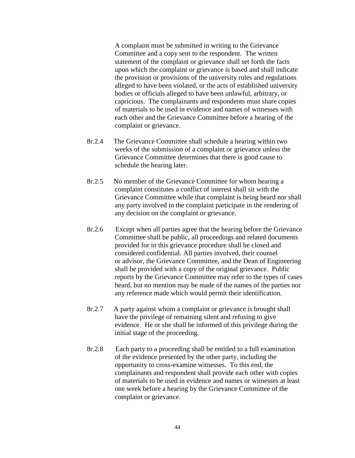A complaint must be submitted in writing to the Grievance Committee and a copy sent to the respondent. The written statement of the complaint or grievance shall set forth the facts upon which the complaint or grievance is based and shall indicate the provision or provisions of the university rules and regulations alleged to have been violated, or the acts of established university bodies or officials alleged to have been unlawful, arbitrary, or capricious. The complainants and respondents must share copies of materials to be used in evidence and names of witnesses with each other and the Grievance Committee before a hearing of the complaint or grievance.

- 8r.2.4 The Grievance Committee shall schedule a hearing within two weeks of the submission of a complaint or grievance unless the Grievance Committee determines that there is good cause to schedule the hearing later.
- 8r.2.5 No member of the Grievance Committee for whom hearing a complaint constitutes a conflict of interest shall sit with the Grievance Committee while that complaint is being heard nor shall any party involved in the complaint participate in the rendering of any decision on the complaint or grievance.
- 8r.2.6 Except when all parties agree that the hearing before the Grievance Committee shall be public, all proceedings and related documents provided for in this grievance procedure shall be closed and considered confidential. All parties involved, their counsel or advisor, the Grievance Committee, and the Dean of Engineering shall be provided with a copy of the original grievance. Public reports by the Grievance Committee may refer to the types of cases heard, but no mention may be made of the names of the parties nor any reference made which would permit their identification.
- 8r.2.7 A party against whom a complaint or grievance is brought shall have the privilege of remaining silent and refusing to give evidence. He or she shall be informed of this privilege during the initial stage of the proceeding.
- 8r.2.8 Each party to a proceeding shall be entitled to a full examination of the evidence presented by the other party, including the opportunity to cross-examine witnesses. To this end, the complainants and respondent shall provide each other with copies of materials to be used in evidence and names or witnesses at least one week before a hearing by the Grievance Committee of the complaint or grievance.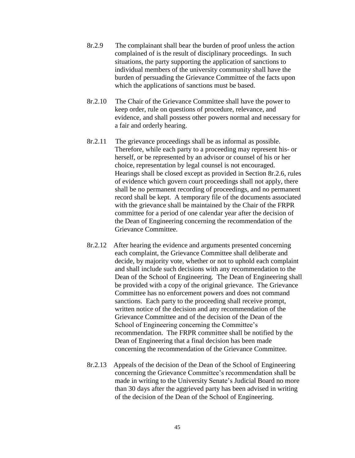- 8r.2.9 The complainant shall bear the burden of proof unless the action complained of is the result of disciplinary proceedings. In such situations, the party supporting the application of sanctions to individual members of the university community shall have the burden of persuading the Grievance Committee of the facts upon which the applications of sanctions must be based.
- 8r.2.10 The Chair of the Grievance Committee shall have the power to keep order, rule on questions of procedure, relevance, and evidence, and shall possess other powers normal and necessary for a fair and orderly hearing.
- 8r.2.11 The grievance proceedings shall be as informal as possible. Therefore, while each party to a proceeding may represent his- or herself, or be represented by an advisor or counsel of his or her choice, representation by legal counsel is not encouraged. Hearings shall be closed except as provided in Section 8r.2.6, rules of evidence which govern court proceedings shall not apply, there shall be no permanent recording of proceedings, and no permanent record shall be kept. A temporary file of the documents associated with the grievance shall be maintained by the Chair of the FRPR committee for a period of one calendar year after the decision of the Dean of Engineering concerning the recommendation of the Grievance Committee.
- 8r.2.12 After hearing the evidence and arguments presented concerning each complaint, the Grievance Committee shall deliberate and decide, by majority vote, whether or not to uphold each complaint and shall include such decisions with any recommendation to the Dean of the School of Engineering. The Dean of Engineering shall be provided with a copy of the original grievance. The Grievance Committee has no enforcement powers and does not command sanctions. Each party to the proceeding shall receive prompt, written notice of the decision and any recommendation of the Grievance Committee and of the decision of the Dean of the School of Engineering concerning the Committee's recommendation. The FRPR committee shall be notified by the Dean of Engineering that a final decision has been made concerning the recommendation of the Grievance Committee.
- 8r.2.13 Appeals of the decision of the Dean of the School of Engineering concerning the Grievance Committee's recommendation shall be made in writing to the University Senate's Judicial Board no more than 30 days after the aggrieved party has been advised in writing of the decision of the Dean of the School of Engineering.